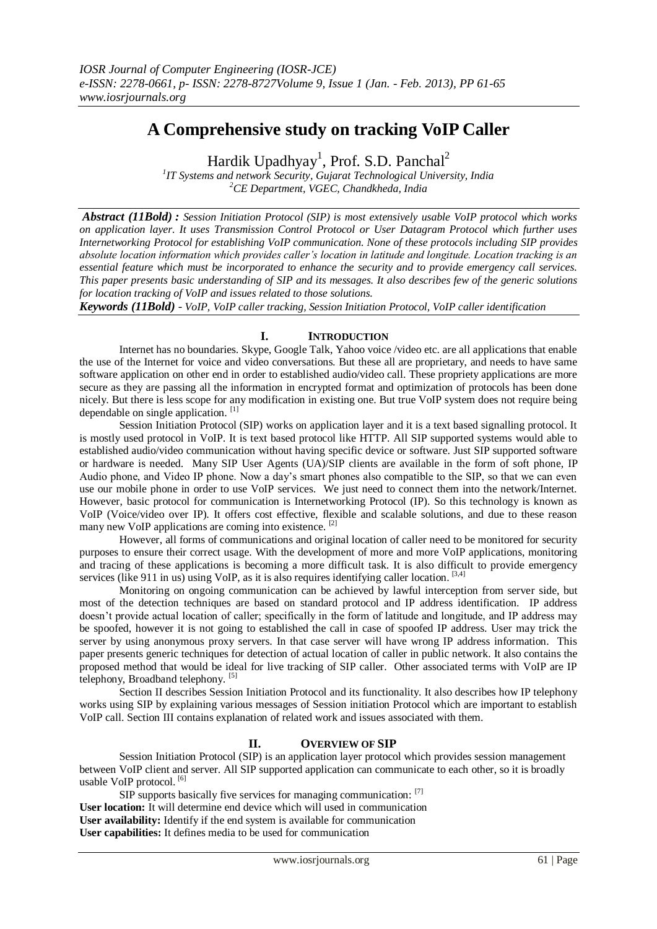# **A Comprehensive study on tracking VoIP Caller**

Hardik Upadhyay<sup>1</sup>, Prof. S.D. Panchal<sup>2</sup>

*1 IT Systems and network Security, Gujarat Technological University, India <sup>2</sup>CE Department, VGEC, Chandkheda, India*

*Abstract (11Bold) : Session Initiation Protocol (SIP) is most extensively usable VoIP protocol which works on application layer. It uses Transmission Control Protocol or User Datagram Protocol which further uses Internetworking Protocol for establishing VoIP communication. None of these protocols including SIP provides absolute location information which provides caller's location in latitude and longitude. Location tracking is an essential feature which must be incorporated to enhance the security and to provide emergency call services. This paper presents basic understanding of SIP and its messages. It also describes few of the generic solutions for location tracking of VoIP and issues related to those solutions.*

*Keywords (11Bold) - VoIP, VoIP caller tracking, Session Initiation Protocol, VoIP caller identification*

# **I. INTRODUCTION**

Internet has no boundaries. Skype, Google Talk, Yahoo voice /video etc. are all applications that enable the use of the Internet for voice and video conversations. But these all are proprietary, and needs to have same software application on other end in order to established audio/video call. These propriety applications are more secure as they are passing all the information in encrypted format and optimization of protocols has been done nicely. But there is less scope for any modification in existing one. But true VoIP system does not require being dependable on single application. [1]

Session Initiation Protocol (SIP) works on application layer and it is a text based signalling protocol. It is mostly used protocol in VoIP. It is text based protocol like HTTP. All SIP supported systems would able to established audio/video communication without having specific device or software. Just SIP supported software or hardware is needed. Many SIP User Agents (UA)/SIP clients are available in the form of soft phone, IP Audio phone, and Video IP phone. Now a day's smart phones also compatible to the SIP, so that we can even use our mobile phone in order to use VoIP services. We just need to connect them into the network/Internet. However, basic protocol for communication is Internetworking Protocol (IP). So this technology is known as VoIP (Voice/video over IP). It offers cost effective, flexible and scalable solutions, and due to these reason many new VoIP applications are coming into existence. [2]

However, all forms of communications and original location of caller need to be monitored for security purposes to ensure their correct usage. With the development of more and more VoIP applications, monitoring and tracing of these applications is becoming a more difficult task. It is also difficult to provide emergency services (like 911 in us) using VoIP, as it is also requires identifying caller location.  $[3,4]$ 

Monitoring on ongoing communication can be achieved by lawful interception from server side, but most of the detection techniques are based on standard protocol and IP address identification. IP address doesn't provide actual location of caller; specifically in the form of latitude and longitude, and IP address may be spoofed, however it is not going to established the call in case of spoofed IP address. User may trick the server by using anonymous proxy servers. In that case server will have wrong IP address information. This paper presents generic techniques for detection of actual location of caller in public network. It also contains the proposed method that would be ideal for live tracking of SIP caller. Other associated terms with VoIP are IP telephony, Broadband telephony. [5]

Section II describes Session Initiation Protocol and its functionality. It also describes how IP telephony works using SIP by explaining various messages of Session initiation Protocol which are important to establish VoIP call. Section III contains explanation of related work and issues associated with them.

## **II. OVERVIEW OF SIP**

Session Initiation Protocol (SIP) is an application layer protocol which provides session management between VoIP client and server. All SIP supported application can communicate to each other, so it is broadly usable VoIP protocol.<sup>[6]</sup>

SIP supports basically five services for managing communication: [7] **User location:** It will determine end device which will used in communication **User availability:** Identify if the end system is available for communication **User capabilities:** It defines media to be used for communication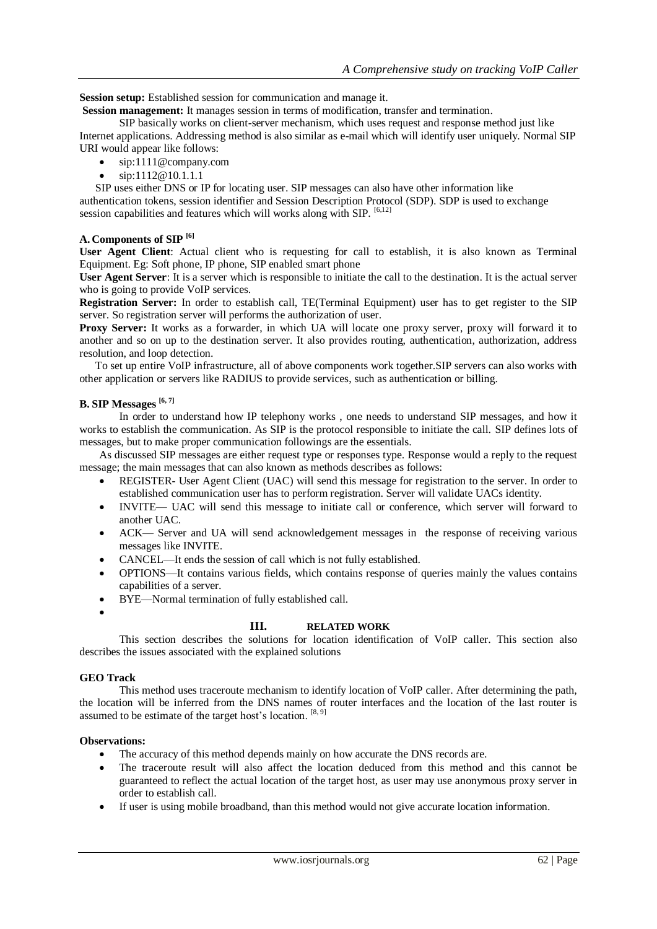**Session setup:** Established session for communication and manage it.

**Session management:** It manages session in terms of modification, transfer and termination.

SIP basically works on client-server mechanism, which uses request and response method just like Internet applications. Addressing method is also similar as e-mail which will identify user uniquely. Normal SIP URI would appear like follows:

- sip:1111@company.com
- sip:1112@10.1.1.1

SIP uses either DNS or IP for locating user. SIP messages can also have other information like authentication tokens, session identifier and Session Description Protocol (SDP). SDP is used to exchange session capabilities and features which will works along with SIP. [6,12]

#### **A. Components of SIP [6]**

**User Agent Client**: Actual client who is requesting for call to establish, it is also known as Terminal Equipment. Eg: Soft phone, IP phone, SIP enabled smart phone

**User Agent Server**: It is a server which is responsible to initiate the call to the destination. It is the actual server who is going to provide VoIP services.

**Registration Server:** In order to establish call, TE(Terminal Equipment) user has to get register to the SIP server. So registration server will performs the authorization of user.

**Proxy Server:** It works as a forwarder, in which UA will locate one proxy server, proxy will forward it to another and so on up to the destination server. It also provides routing, authentication, authorization, address resolution, and loop detection.

To set up entire VoIP infrastructure, all of above components work together.SIP servers can also works with other application or servers like RADIUS to provide services, such as authentication or billing.

#### **B. SIP Messages [6, 7]**

In order to understand how IP telephony works , one needs to understand SIP messages, and how it works to establish the communication. As SIP is the protocol responsible to initiate the call. SIP defines lots of messages, but to make proper communication followings are the essentials.

As discussed SIP messages are either request type or responses type. Response would a reply to the request message; the main messages that can also known as methods describes as follows:

- REGISTER- User Agent Client (UAC) will send this message for registration to the server. In order to established communication user has to perform registration. Server will validate UACs identity.
- INVITE— UAC will send this message to initiate call or conference, which server will forward to another UAC.
- ACK— Server and UA will send acknowledgement messages in the response of receiving various messages like INVITE.
- CANCEL—It ends the session of call which is not fully established.
- OPTIONS—It contains various fields, which contains response of queries mainly the values contains capabilities of a server.
- BYE—Normal termination of fully established call.
- $\bullet$

# **III. RELATED WORK**

This section describes the solutions for location identification of VoIP caller. This section also describes the issues associated with the explained solutions

## **GEO Track**

This method uses traceroute mechanism to identify location of VoIP caller. After determining the path, the location will be inferred from the DNS names of router interfaces and the location of the last router is assumed to be estimate of the target host's location. [8, 9]

#### **Observations:**

- The accuracy of this method depends mainly on how accurate the DNS records are.
- The traceroute result will also affect the location deduced from this method and this cannot be guaranteed to reflect the actual location of the target host, as user may use anonymous proxy server in order to establish call.
- If user is using mobile broadband, than this method would not give accurate location information.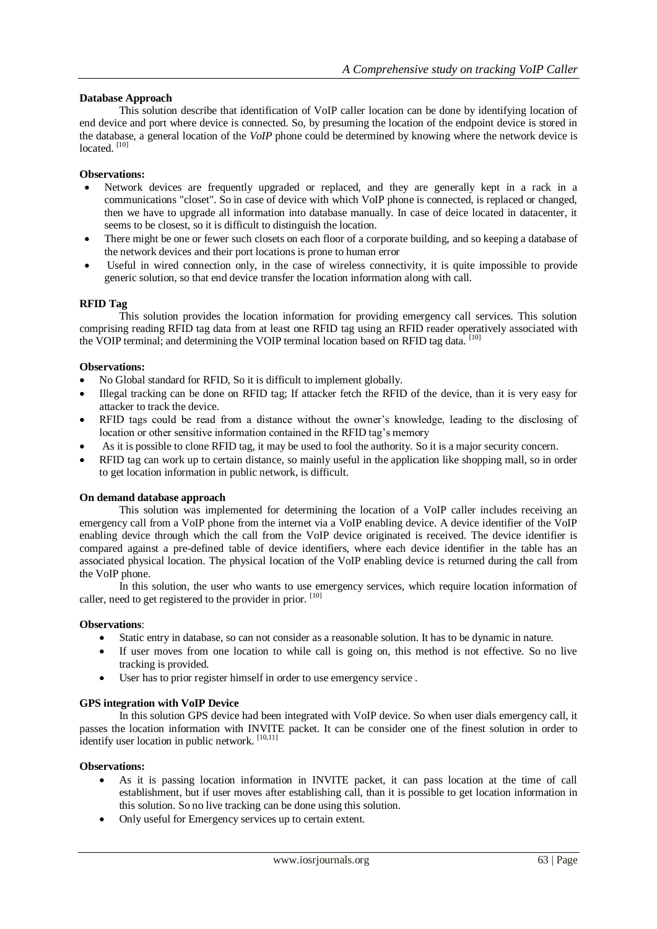# **Database Approach**

This solution describe that identification of VoIP caller location can be done by identifying location of end device and port where device is connected. So, by presuming the location of the endpoint device is stored in the database, a general location of the *VoIP* phone could be determined by knowing where the network device is located. [10]

# **Observations:**

- Network devices are frequently upgraded or replaced, and they are generally kept in a rack in a communications "closet". So in case of device with which VoIP phone is connected, is replaced or changed, then we have to upgrade all information into database manually. In case of deice located in datacenter, it seems to be closest, so it is difficult to distinguish the location.
- There might be one or fewer such closets on each floor of a corporate building, and so keeping a database of the network devices and their port locations is prone to human error
- Useful in wired connection only, in the case of wireless connectivity, it is quite impossible to provide generic solution, so that end device transfer the location information along with call.

## **RFID Tag**

This solution provides the location information for providing emergency call services. This solution comprising reading RFID tag data from at least one RFID tag using an RFID reader operatively associated with the VOIP terminal; and determining the VOIP terminal location based on RFID tag data. [10]

## **Observations:**

- No Global standard for RFID, So it is difficult to implement globally.
- Illegal tracking can be done on RFID tag; If attacker fetch the RFID of the device, than it is very easy for attacker to track the device.
- RFID tags could be read from a distance without the owner's knowledge, leading to the disclosing of location or other sensitive information contained in the RFID tag's memory
- As it is possible to clone RFID tag, it may be used to fool the authority. So it is a major security concern.
- RFID tag can work up to certain distance, so mainly useful in the application like shopping mall, so in order to get location information in public network, is difficult.

## **On demand database approach**

This solution was implemented for determining the location of a VoIP caller includes receiving an emergency call from a VoIP phone from the internet via a VoIP enabling device. A device identifier of the VoIP enabling device through which the call from the VoIP device originated is received. The device identifier is compared against a pre-defined table of device identifiers, where each device identifier in the table has an associated physical location. The physical location of the VoIP enabling device is returned during the call from the VoIP phone.

In this solution, the user who wants to use emergency services, which require location information of caller, need to get registered to the provider in prior. [10]

## **Observations**:

- Static entry in database, so can not consider as a reasonable solution. It has to be dynamic in nature.
- If user moves from one location to while call is going on, this method is not effective. So no live tracking is provided.
- User has to prior register himself in order to use emergency service .

## **GPS integration with VoIP Device**

In this solution GPS device had been integrated with VoIP device. So when user dials emergency call, it passes the location information with INVITE packet. It can be consider one of the finest solution in order to identify user location in public network. [10,11]

## **Observations:**

- As it is passing location information in INVITE packet, it can pass location at the time of call establishment, but if user moves after establishing call, than it is possible to get location information in this solution. So no live tracking can be done using this solution.
- Only useful for Emergency services up to certain extent.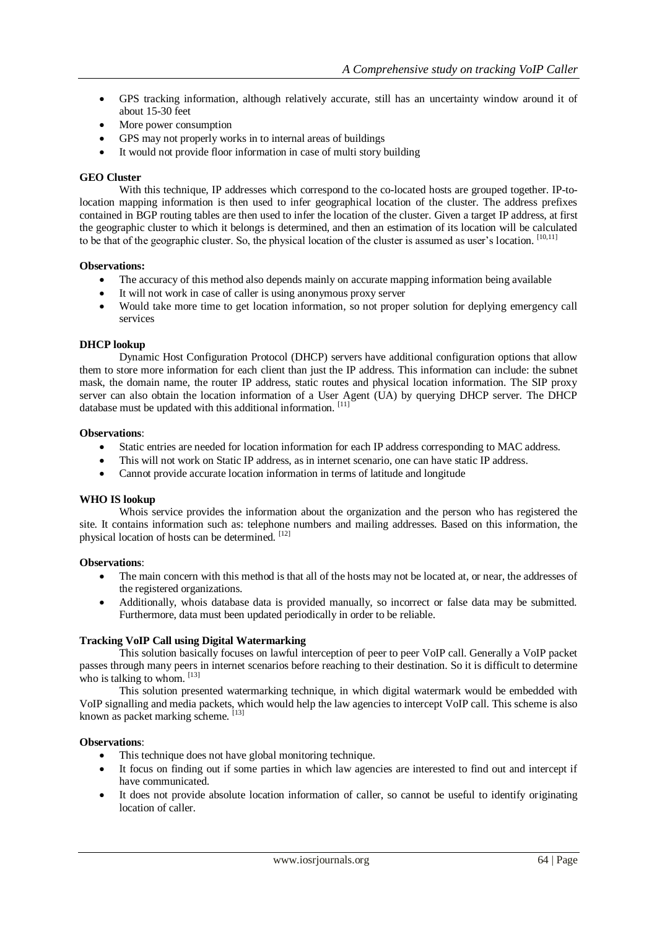- GPS tracking information, although relatively accurate, still has an uncertainty window around it of about 15-30 feet
- More power consumption
- GPS may not properly works in to internal areas of buildings
- It would not provide floor information in case of multi story building

#### **GEO Cluster**

With this technique, IP addresses which correspond to the co-located hosts are grouped together. IP-tolocation mapping information is then used to infer geographical location of the cluster. The address prefixes contained in BGP routing tables are then used to infer the location of the cluster. Given a target IP address, at first the geographic cluster to which it belongs is determined, and then an estimation of its location will be calculated to be that of the geographic cluster. So, the physical location of the cluster is assumed as user's location. [10,11]

#### **Observations:**

- The accuracy of this method also depends mainly on accurate mapping information being available
- It will not work in case of caller is using anonymous proxy server
- Would take more time to get location information, so not proper solution for deplying emergency call services

#### **DHCP lookup**

Dynamic Host Configuration Protocol (DHCP) servers have additional configuration options that allow them to store more information for each client than just the IP address. This information can include: the subnet mask, the domain name, the router IP address, static routes and physical location information. The SIP proxy server can also obtain the location information of a User Agent (UA) by querying DHCP server. The DHCP database must be updated with this additional information. [11]

#### **Observations**:

- Static entries are needed for location information for each IP address corresponding to MAC address.
- This will not work on Static IP address, as in internet scenario, one can have static IP address.
- Cannot provide accurate location information in terms of latitude and longitude

#### **WHO IS lookup**

Whois service provides the information about the organization and the person who has registered the site. It contains information such as: telephone numbers and mailing addresses. Based on this information, the physical location of hosts can be determined. [12]

#### **Observations**:

- The main concern with this method is that all of the hosts may not be located at, or near, the addresses of the registered organizations.
- Additionally, whois database data is provided manually, so incorrect or false data may be submitted. Furthermore, data must been updated periodically in order to be reliable.

#### **Tracking VoIP Call using Digital Watermarking**

This solution basically focuses on lawful interception of peer to peer VoIP call. Generally a VoIP packet passes through many peers in internet scenarios before reaching to their destination. So it is difficult to determine who is talking to whom. [13]

This solution presented watermarking technique, in which digital watermark would be embedded with VoIP signalling and media packets, which would help the law agencies to intercept VoIP call. This scheme is also known as packet marking scheme. [13]

#### **Observations**:

- This technique does not have global monitoring technique.
- It focus on finding out if some parties in which law agencies are interested to find out and intercept if have communicated.
- It does not provide absolute location information of caller, so cannot be useful to identify originating location of caller.